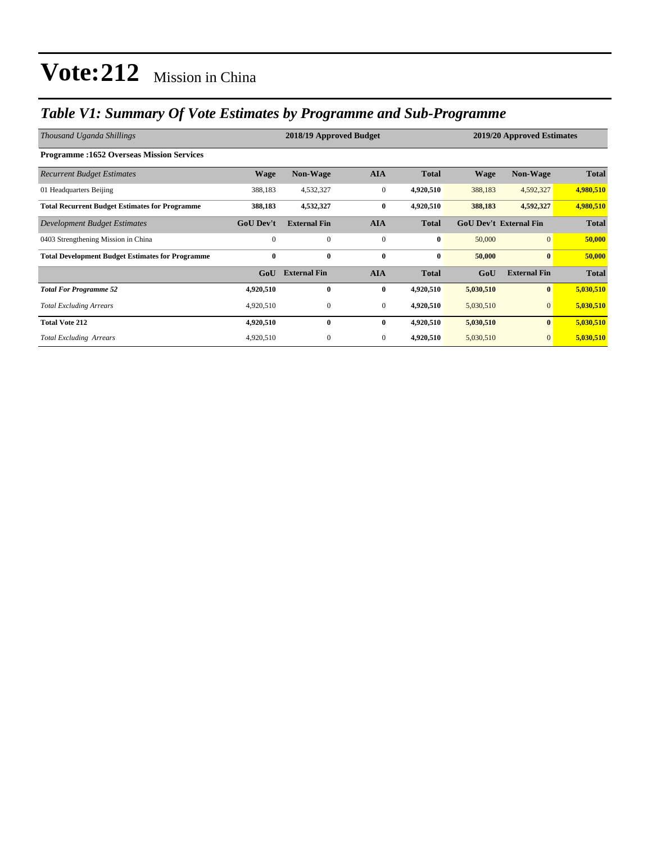### *Table V1: Summary Of Vote Estimates by Programme and Sub-Programme*

| Thousand Uganda Shillings                               |                  | 2018/19 Approved Budget | 2019/20 Approved Estimates |              |                               |                     |              |
|---------------------------------------------------------|------------------|-------------------------|----------------------------|--------------|-------------------------------|---------------------|--------------|
| <b>Programme:1652 Overseas Mission Services</b>         |                  |                         |                            |              |                               |                     |              |
| <b>Recurrent Budget Estimates</b>                       | <b>Wage</b>      | <b>Non-Wage</b>         | <b>AIA</b>                 | <b>Total</b> | <b>Wage</b>                   | <b>Non-Wage</b>     | <b>Total</b> |
| 01 Headquarters Beijing                                 | 388,183          | 4,532,327               | $\boldsymbol{0}$           | 4,920,510    | 388,183                       | 4,592,327           | 4,980,510    |
| <b>Total Recurrent Budget Estimates for Programme</b>   | 388,183          | 4,532,327               | $\bf{0}$                   | 4,920,510    | 388,183                       | 4,592,327           | 4,980,510    |
| Development Budget Estimates                            | <b>GoU</b> Dev't | <b>External Fin</b>     | <b>AIA</b>                 | <b>Total</b> | <b>GoU Dev't External Fin</b> |                     | <b>Total</b> |
| 0403 Strengthening Mission in China                     | $\mathbf{0}$     | $\mathbf{0}$            | $\mathbf{0}$               | $\bf{0}$     | 50,000                        | $\overline{0}$      | 50,000       |
| <b>Total Development Budget Estimates for Programme</b> | $\bf{0}$         | $\bf{0}$                | $\bf{0}$                   | $\bf{0}$     | 50,000                        | $\bf{0}$            | 50,000       |
|                                                         | GoU              | <b>External Fin</b>     | <b>AIA</b>                 | <b>Total</b> | GoU                           | <b>External Fin</b> | <b>Total</b> |
| <b>Total For Programme 52</b>                           | 4,920,510        | $\bf{0}$                | $\bf{0}$                   | 4,920,510    | 5,030,510                     | $\bf{0}$            | 5,030,510    |
| <b>Total Excluding Arrears</b>                          | 4,920,510        | $\boldsymbol{0}$        | $\mathbf{0}$               | 4,920,510    | 5,030,510                     | $\mathbf{0}$        | 5,030,510    |
| <b>Total Vote 212</b>                                   | 4,920,510        | $\bf{0}$                | $\bf{0}$                   | 4,920,510    | 5,030,510                     | $\bf{0}$            | 5,030,510    |
| <b>Total Excluding Arrears</b>                          | 4,920,510        | $\mathbf{0}$            | $\mathbf{0}$               | 4,920,510    | 5,030,510                     | $\mathbf{0}$        | 5,030,510    |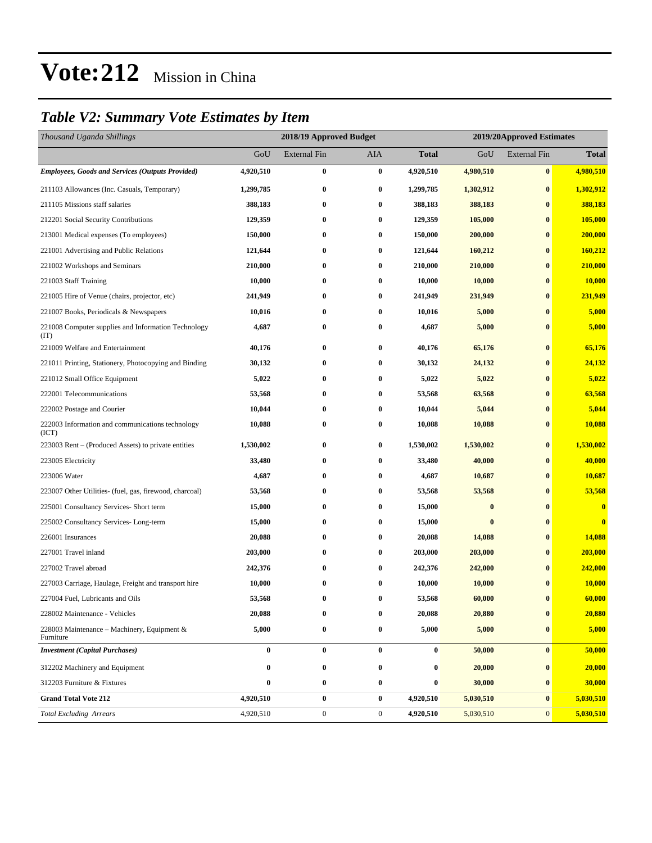### *Table V2: Summary Vote Estimates by Item*

| Thousand Uganda Shillings                                   | 2018/19 Approved Budget |                     |              |              | 2019/20Approved Estimates |                     |              |  |
|-------------------------------------------------------------|-------------------------|---------------------|--------------|--------------|---------------------------|---------------------|--------------|--|
|                                                             | GoU                     | <b>External Fin</b> | AIA          | <b>Total</b> | GoU                       | <b>External Fin</b> | <b>Total</b> |  |
| <b>Employees, Goods and Services (Outputs Provided)</b>     | 4,920,510               | $\bf{0}$            | $\bf{0}$     | 4,920,510    | 4,980,510                 | $\bf{0}$            | 4,980,510    |  |
| 211103 Allowances (Inc. Casuals, Temporary)                 | 1,299,785               | $\bf{0}$            | $\bf{0}$     | 1,299,785    | 1,302,912                 | $\bf{0}$            | 1,302,912    |  |
| 211105 Missions staff salaries                              | 388,183                 | $\bf{0}$            | $\bf{0}$     | 388,183      | 388,183                   | $\bf{0}$            | 388,183      |  |
| 212201 Social Security Contributions                        | 129,359                 | $\bf{0}$            | $\bf{0}$     | 129,359      | 105,000                   | $\bf{0}$            | 105,000      |  |
| 213001 Medical expenses (To employees)                      | 150,000                 | $\bf{0}$            | $\bf{0}$     | 150,000      | 200,000                   | $\bf{0}$            | 200,000      |  |
| 221001 Advertising and Public Relations                     | 121,644                 | $\bf{0}$            | $\bf{0}$     | 121,644      | 160,212                   | $\bf{0}$            | 160,212      |  |
| 221002 Workshops and Seminars                               | 210,000                 | $\boldsymbol{0}$    | $\bf{0}$     | 210,000      | 210,000                   | $\bf{0}$            | 210,000      |  |
| 221003 Staff Training                                       | 10,000                  | $\bf{0}$            | $\bf{0}$     | 10,000       | 10,000                    | $\bf{0}$            | 10,000       |  |
| 221005 Hire of Venue (chairs, projector, etc)               | 241,949                 | $\bf{0}$            | $\bf{0}$     | 241,949      | 231,949                   | $\bf{0}$            | 231,949      |  |
| 221007 Books, Periodicals & Newspapers                      | 10,016                  | $\bf{0}$            | $\bf{0}$     | 10,016       | 5,000                     | $\bf{0}$            | 5,000        |  |
| 221008 Computer supplies and Information Technology<br>(TT) | 4,687                   | $\bf{0}$            | $\bf{0}$     | 4,687        | 5,000                     | $\bf{0}$            | 5,000        |  |
| 221009 Welfare and Entertainment                            | 40,176                  | $\bf{0}$            | $\bf{0}$     | 40,176       | 65,176                    | $\bf{0}$            | 65,176       |  |
| 221011 Printing, Stationery, Photocopying and Binding       | 30,132                  | $\bf{0}$            | $\bf{0}$     | 30,132       | 24,132                    | $\bf{0}$            | 24,132       |  |
| 221012 Small Office Equipment                               | 5,022                   | $\bf{0}$            | $\bf{0}$     | 5,022        | 5,022                     | $\bf{0}$            | 5,022        |  |
| 222001 Telecommunications                                   | 53,568                  | $\bf{0}$            | $\bf{0}$     | 53,568       | 63,568                    | $\bf{0}$            | 63,568       |  |
| 222002 Postage and Courier                                  | 10,044                  | $\bf{0}$            | $\bf{0}$     | 10,044       | 5,044                     | $\bf{0}$            | 5,044        |  |
| 222003 Information and communications technology<br>(ICT)   | 10,088                  | $\bf{0}$            | $\bf{0}$     | 10,088       | 10,088                    | $\bf{0}$            | 10,088       |  |
| 223003 Rent – (Produced Assets) to private entities         | 1,530,002               | $\bf{0}$            | $\bf{0}$     | 1,530,002    | 1,530,002                 | $\boldsymbol{0}$    | 1,530,002    |  |
| 223005 Electricity                                          | 33,480                  | $\bf{0}$            | $\bf{0}$     | 33,480       | 40,000                    | $\bf{0}$            | 40,000       |  |
| 223006 Water                                                | 4,687                   | $\bf{0}$            | $\bf{0}$     | 4,687        | 10,687                    | $\bf{0}$            | 10,687       |  |
| 223007 Other Utilities- (fuel, gas, firewood, charcoal)     | 53,568                  | $\bf{0}$            | $\bf{0}$     | 53,568       | 53,568                    | $\bf{0}$            | 53,568       |  |
| 225001 Consultancy Services- Short term                     | 15,000                  | $\bf{0}$            | $\bf{0}$     | 15,000       | $\bf{0}$                  | $\bf{0}$            | $\bf{0}$     |  |
| 225002 Consultancy Services-Long-term                       | 15,000                  | $\bf{0}$            | $\bf{0}$     | 15,000       | $\bf{0}$                  | $\bf{0}$            | $\bf{0}$     |  |
| 226001 Insurances                                           | 20,088                  | $\bf{0}$            | $\bf{0}$     | 20,088       | 14,088                    | $\bf{0}$            | 14,088       |  |
| 227001 Travel inland                                        | 203,000                 | $\bf{0}$            | $\bf{0}$     | 203,000      | 203,000                   | $\bf{0}$            | 203,000      |  |
| 227002 Travel abroad                                        | 242,376                 | $\bf{0}$            | $\bf{0}$     | 242,376      | 242,000                   | $\bf{0}$            | 242,000      |  |
| 227003 Carriage, Haulage, Freight and transport hire        | 10,000                  | $\bf{0}$            | $\bf{0}$     | 10,000       | 10,000                    | $\bf{0}$            | 10,000       |  |
| 227004 Fuel, Lubricants and Oils                            | 53,568                  | $\bf{0}$            | $\bf{0}$     | 53,568       | 60,000                    | $\bf{0}$            | 60,000       |  |
| 228002 Maintenance - Vehicles                               | 20,088                  | $\bf{0}$            | $\bf{0}$     | 20,088       | 20,880                    | $\bf{0}$            | 20,880       |  |
| 228003 Maintenance – Machinery, Equipment $\&$<br>Furniture | 5,000                   | $\bf{0}$            | $\bf{0}$     | 5,000        | 5,000                     | $\bf{0}$            | 5,000        |  |
| <b>Investment</b> (Capital Purchases)                       | $\bf{0}$                | $\bf{0}$            | $\bf{0}$     | 0            | 50,000                    | $\bf{0}$            | 50,000       |  |
| 312202 Machinery and Equipment                              | $\bf{0}$                | $\boldsymbol{0}$    | $\bf{0}$     | 0            | 20,000                    | $\bf{0}$            | 20,000       |  |
| 312203 Furniture & Fixtures                                 | 0                       | $\bf{0}$            | $\bf{0}$     | 0            | 30,000                    | $\bf{0}$            | 30,000       |  |
| <b>Grand Total Vote 212</b>                                 | 4,920,510               | $\boldsymbol{0}$    | $\bf{0}$     | 4,920,510    | 5,030,510                 | $\bf{0}$            | 5,030,510    |  |
| <b>Total Excluding Arrears</b>                              | 4,920,510               | $\boldsymbol{0}$    | $\mathbf{0}$ | 4,920,510    | 5,030,510                 | $\mathbf{0}$        | 5,030,510    |  |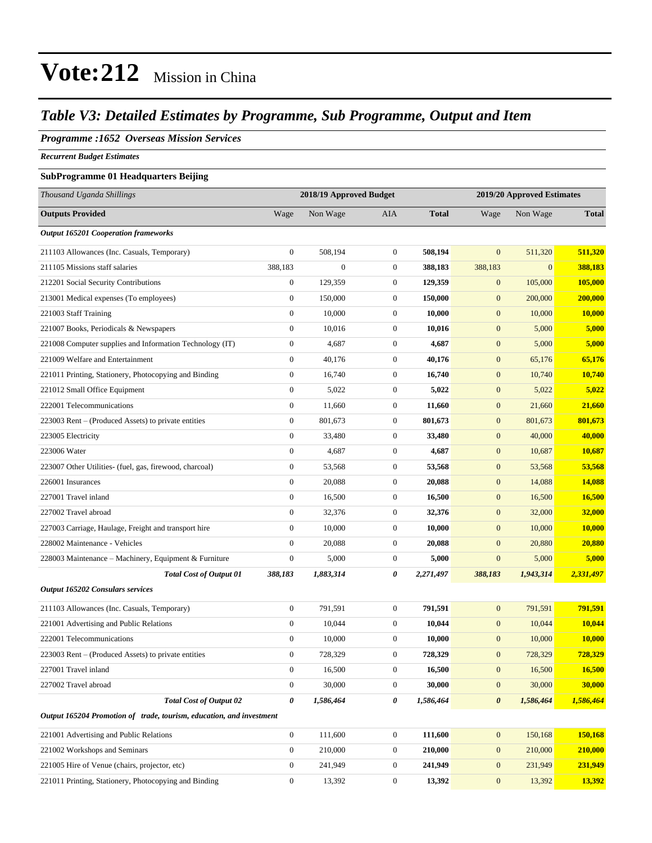### *Table V3: Detailed Estimates by Programme, Sub Programme, Output and Item*

### *Programme :1652 Overseas Mission Services*

*Recurrent Budget Estimates*

#### **SubProgramme 01 Headquarters Beijing**

| Thousand Uganda Shillings                                            | 2018/19 Approved Budget |                |                  | 2019/20 Approved Estimates |                       |              |               |
|----------------------------------------------------------------------|-------------------------|----------------|------------------|----------------------------|-----------------------|--------------|---------------|
| <b>Outputs Provided</b>                                              | Wage                    | Non Wage       | AIA              | <b>Total</b>               | Wage                  | Non Wage     | <b>Total</b>  |
| <b>Output 165201 Cooperation frameworks</b>                          |                         |                |                  |                            |                       |              |               |
| 211103 Allowances (Inc. Casuals, Temporary)                          | $\boldsymbol{0}$        | 508,194        | $\mathbf{0}$     | 508,194                    | $\mathbf{0}$          | 511,320      | 511,320       |
| 211105 Missions staff salaries                                       | 388,183                 | $\overline{0}$ | $\boldsymbol{0}$ | 388,183                    | 388,183               | $\mathbf{0}$ | 388,183       |
| 212201 Social Security Contributions                                 | $\boldsymbol{0}$        | 129,359        | $\mathbf{0}$     | 129,359                    | $\mathbf{0}$          | 105,000      | 105,000       |
| 213001 Medical expenses (To employees)                               | $\mathbf{0}$            | 150,000        | $\mathbf{0}$     | 150,000                    | $\boldsymbol{0}$      | 200,000      | 200,000       |
| 221003 Staff Training                                                | $\boldsymbol{0}$        | 10,000         | $\mathbf{0}$     | 10,000                     | $\boldsymbol{0}$      | 10,000       | 10,000        |
| 221007 Books, Periodicals & Newspapers                               | $\boldsymbol{0}$        | 10,016         | $\mathbf{0}$     | 10,016                     | $\boldsymbol{0}$      | 5,000        | 5,000         |
| 221008 Computer supplies and Information Technology (IT)             | $\boldsymbol{0}$        | 4,687          | $\mathbf{0}$     | 4,687                      | $\boldsymbol{0}$      | 5,000        | 5,000         |
| 221009 Welfare and Entertainment                                     | $\boldsymbol{0}$        | 40,176         | $\boldsymbol{0}$ | 40,176                     | $\boldsymbol{0}$      | 65,176       | 65,176        |
| 221011 Printing, Stationery, Photocopying and Binding                | $\boldsymbol{0}$        | 16,740         | $\boldsymbol{0}$ | 16,740                     | $\mathbf{0}$          | 10,740       | 10,740        |
| 221012 Small Office Equipment                                        | $\boldsymbol{0}$        | 5,022          | $\boldsymbol{0}$ | 5,022                      | $\boldsymbol{0}$      | 5,022        | 5,022         |
| 222001 Telecommunications                                            | $\boldsymbol{0}$        | 11,660         | $\boldsymbol{0}$ | 11,660                     | $\boldsymbol{0}$      | 21,660       | 21,660        |
| 223003 Rent – (Produced Assets) to private entities                  | $\boldsymbol{0}$        | 801,673        | $\boldsymbol{0}$ | 801,673                    | $\mathbf{0}$          | 801,673      | 801,673       |
| 223005 Electricity                                                   | $\boldsymbol{0}$        | 33,480         | $\mathbf{0}$     | 33,480                     | $\mathbf{0}$          | 40,000       | 40,000        |
| 223006 Water                                                         | $\boldsymbol{0}$        | 4,687          | $\boldsymbol{0}$ | 4,687                      | $\mathbf{0}$          | 10,687       | 10,687        |
| 223007 Other Utilities- (fuel, gas, firewood, charcoal)              | $\boldsymbol{0}$        | 53,568         | $\mathbf{0}$     | 53,568                     | $\boldsymbol{0}$      | 53,568       | 53,568        |
| 226001 Insurances                                                    | $\boldsymbol{0}$        | 20,088         | $\mathbf{0}$     | 20,088                     | $\boldsymbol{0}$      | 14,088       | 14,088        |
| 227001 Travel inland                                                 | $\boldsymbol{0}$        | 16,500         | $\mathbf{0}$     | 16,500                     | $\mathbf{0}$          | 16,500       | 16,500        |
| 227002 Travel abroad                                                 | $\boldsymbol{0}$        | 32,376         | $\mathbf{0}$     | 32,376                     | $\mathbf{0}$          | 32,000       | 32,000        |
| 227003 Carriage, Haulage, Freight and transport hire                 | $\boldsymbol{0}$        | 10,000         | $\boldsymbol{0}$ | 10,000                     | $\mathbf{0}$          | 10,000       | <b>10,000</b> |
| 228002 Maintenance - Vehicles                                        | $\boldsymbol{0}$        | 20,088         | $\boldsymbol{0}$ | 20,088                     | $\boldsymbol{0}$      | 20,880       | 20,880        |
| 228003 Maintenance – Machinery, Equipment & Furniture                | $\boldsymbol{0}$        | 5,000          | $\boldsymbol{0}$ | 5,000                      | $\boldsymbol{0}$      | 5,000        | 5,000         |
| <b>Total Cost of Output 01</b>                                       | 388,183                 | 1,883,314      | 0                | 2,271,497                  | 388,183               | 1,943,314    | 2,331,497     |
| Output 165202 Consulars services                                     |                         |                |                  |                            |                       |              |               |
| 211103 Allowances (Inc. Casuals, Temporary)                          | $\boldsymbol{0}$        | 791,591        | $\boldsymbol{0}$ | 791.591                    | $\mathbf{0}$          | 791,591      | 791,591       |
| 221001 Advertising and Public Relations                              | $\boldsymbol{0}$        | 10,044         | $\mathbf{0}$     | 10,044                     | $\mathbf{0}$          | 10,044       | 10,044        |
| 222001 Telecommunications                                            | $\boldsymbol{0}$        | 10,000         | $\mathbf{0}$     | 10,000                     | $\mathbf{0}$          | 10,000       | 10,000        |
| 223003 Rent – (Produced Assets) to private entities                  | $\boldsymbol{0}$        | 728,329        | $\boldsymbol{0}$ | 728,329                    | $\mathbf{0}$          | 728,329      | 728,329       |
| 227001 Travel inland                                                 | $\boldsymbol{0}$        | 16,500         | $\boldsymbol{0}$ | 16,500                     | $\boldsymbol{0}$      | 16,500       | 16,500        |
| 227002 Travel abroad                                                 | $\boldsymbol{0}$        | 30,000         | $\boldsymbol{0}$ | 30,000                     | $\mathbf{0}$          | 30,000       | 30,000        |
| <b>Total Cost of Output 02</b>                                       | 0                       | 1,586,464      | 0                | 1,586,464                  | $\boldsymbol{\theta}$ | 1,586,464    | 1,586,464     |
| Output 165204 Promotion of trade, tourism, education, and investment |                         |                |                  |                            |                       |              |               |
| 221001 Advertising and Public Relations                              | $\boldsymbol{0}$        | 111,600        | $\boldsymbol{0}$ | 111,600                    | $\boldsymbol{0}$      | 150,168      | 150,168       |
| 221002 Workshops and Seminars                                        | $\mathbf{0}$            | 210,000        | $\boldsymbol{0}$ | 210,000                    | $\boldsymbol{0}$      | 210,000      | 210,000       |
| 221005 Hire of Venue (chairs, projector, etc)                        | $\boldsymbol{0}$        | 241,949        | $\boldsymbol{0}$ | 241,949                    | $\mathbf{0}$          | 231,949      | 231,949       |
| 221011 Printing, Stationery, Photocopying and Binding                | $\boldsymbol{0}$        | 13,392         | $\boldsymbol{0}$ | 13,392                     | $\boldsymbol{0}$      | 13,392       | 13,392        |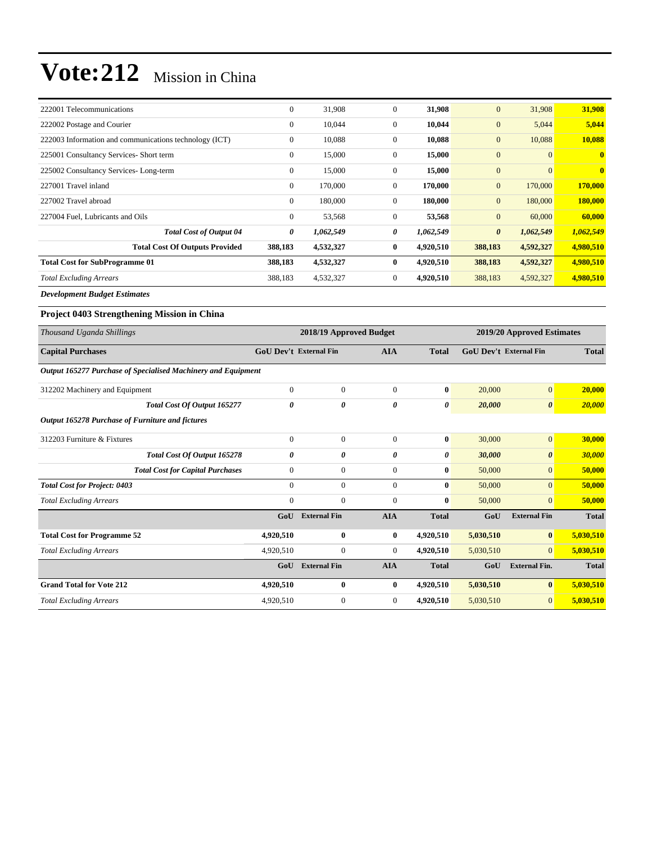| 222001 Telecommunications                              | $\mathbf{0}$ | 31,908    | $\mathbf{0}$ | 31,908    | $\mathbf{0}$          | 31,908         | 31,908       |
|--------------------------------------------------------|--------------|-----------|--------------|-----------|-----------------------|----------------|--------------|
| 222002 Postage and Courier                             | $\mathbf{0}$ | 10,044    | $\mathbf{0}$ | 10,044    | $\mathbf{0}$          | 5,044          | 5,044        |
| 222003 Information and communications technology (ICT) | $\mathbf{0}$ | 10,088    | $\mathbf{0}$ | 10,088    | $\mathbf{0}$          | 10,088         | 10,088       |
| 225001 Consultancy Services- Short term                | $\mathbf{0}$ | 15,000    | $\Omega$     | 15,000    | $\mathbf{0}$          | $\overline{0}$ | $\mathbf{0}$ |
| 225002 Consultancy Services-Long-term                  | $\mathbf{0}$ | 15,000    | $\mathbf{0}$ | 15,000    | $\mathbf{0}$          | $\overline{0}$ | $\mathbf{0}$ |
| 227001 Travel inland                                   | $\mathbf{0}$ | 170,000   | $\mathbf{0}$ | 170,000   | $\mathbf{0}$          | 170,000        | 170,000      |
| 227002 Travel abroad                                   | $\mathbf{0}$ | 180,000   | $\mathbf{0}$ | 180,000   | $\mathbf{0}$          | 180,000        | 180,000      |
| 227004 Fuel, Lubricants and Oils                       | $\mathbf{0}$ | 53,568    | $\Omega$     | 53,568    | $\mathbf{0}$          | 60,000         | 60,000       |
| <b>Total Cost of Output 04</b>                         | 0            | 1,062,549 | 0            | 1,062,549 | $\boldsymbol{\theta}$ | 1,062,549      | 1,062,549    |
| <b>Total Cost Of Outputs Provided</b>                  | 388,183      | 4,532,327 | $\mathbf{0}$ | 4,920,510 | 388,183               | 4,592,327      | 4,980,510    |
| <b>Total Cost for SubProgramme 01</b>                  | 388,183      | 4,532,327 | $\mathbf{0}$ | 4,920,510 | 388,183               | 4,592,327      | 4,980,510    |
| <b>Total Excluding Arrears</b>                         | 388,183      | 4,532,327 | $\mathbf{0}$ | 4,920,510 | 388,183               | 4,592,327      | 4,980,510    |

*Development Budget Estimates*

#### **Project 0403 Strengthening Mission in China**

| Thousand Uganda Shillings                                     | 2018/19 Approved Budget       |                     |              |                       | 2019/20 Approved Estimates    |                       |              |
|---------------------------------------------------------------|-------------------------------|---------------------|--------------|-----------------------|-------------------------------|-----------------------|--------------|
| <b>Capital Purchases</b>                                      | <b>GoU Dev't External Fin</b> |                     | <b>AIA</b>   | <b>Total</b>          | <b>GoU Dev't External Fin</b> |                       | <b>Total</b> |
| Output 165277 Purchase of Specialised Machinery and Equipment |                               |                     |              |                       |                               |                       |              |
| 312202 Machinery and Equipment                                | $\Omega$                      | $\mathbf{0}$        | $\Omega$     | $\mathbf{0}$          | 20,000                        | $\overline{0}$        | 20,000       |
| <b>Total Cost Of Output 165277</b>                            | 0                             | 0                   | 0            | $\boldsymbol{\theta}$ | 20,000                        | $\boldsymbol{\theta}$ | 20,000       |
| Output 165278 Purchase of Furniture and fictures              |                               |                     |              |                       |                               |                       |              |
| 312203 Furniture & Fixtures                                   | $\mathbf{0}$                  | $\overline{0}$      | $\Omega$     | $\bf{0}$              | 30,000                        | $\overline{0}$        | 30,000       |
| Total Cost Of Output 165278                                   | 0                             | 0                   | 0            | 0                     | 30,000                        | $\boldsymbol{\theta}$ | 30,000       |
| <b>Total Cost for Capital Purchases</b>                       | $\mathbf{0}$                  | $\overline{0}$      | $\Omega$     | $\bf{0}$              | 50,000                        | $\overline{0}$        | 50,000       |
| <b>Total Cost for Project: 0403</b>                           | $\overline{0}$                | $\overline{0}$      | $\mathbf{0}$ | $\bf{0}$              | 50,000                        | $\overline{0}$        | 50,000       |
| <b>Total Excluding Arrears</b>                                | $\mathbf{0}$                  | $\mathbf{0}$        | $\Omega$     | $\mathbf{0}$          | 50,000                        | $\overline{0}$        | 50,000       |
|                                                               | GoU                           | <b>External Fin</b> | <b>AIA</b>   | <b>Total</b>          | GoU                           | <b>External Fin</b>   | <b>Total</b> |
| <b>Total Cost for Programme 52</b>                            | 4,920,510                     | $\bf{0}$            | $\bf{0}$     | 4,920,510             | 5,030,510                     | $\bf{0}$              | 5,030,510    |
| <b>Total Excluding Arrears</b>                                | 4,920,510                     | $\boldsymbol{0}$    | $\mathbf{0}$ | 4,920,510             | 5,030,510                     | $\overline{0}$        | 5,030,510    |
|                                                               | GoU                           | <b>External Fin</b> | <b>AIA</b>   | <b>Total</b>          | GoU                           | <b>External Fin.</b>  | <b>Total</b> |
| <b>Grand Total for Vote 212</b>                               | 4,920,510                     | $\bf{0}$            | $\bf{0}$     | 4,920,510             | 5,030,510                     | $\bf{0}$              | 5,030,510    |
| <b>Total Excluding Arrears</b>                                | 4,920,510                     | $\boldsymbol{0}$    | $\mathbf{0}$ | 4,920,510             | 5,030,510                     | $\overline{0}$        | 5,030,510    |